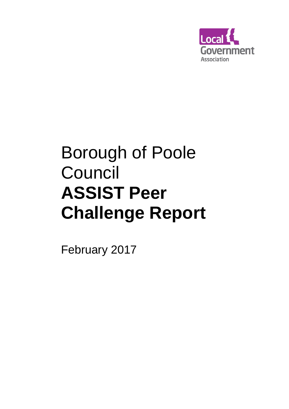

# Borough of Poole Council **ASSIST Peer Challenge Report**

February 2017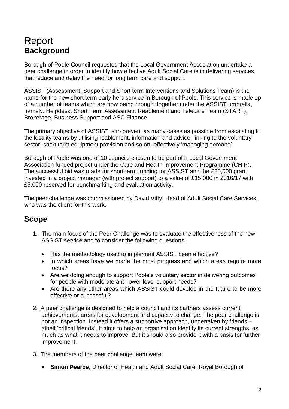## Report **Background**

Borough of Poole Council requested that the Local Government Association undertake a peer challenge in order to identify how effective Adult Social Care is in delivering services that reduce and delay the need for long term care and support.

ASSIST (Assessment, Support and Short term Interventions and Solutions Team) is the name for the new short term early help service in Borough of Poole. This service is made up of a number of teams which are now being brought together under the ASSIST umbrella, namely: Helpdesk, Short Term Assessment Reablement and Telecare Team (START), Brokerage, Business Support and ASC Finance.

The primary objective of ASSIST is to prevent as many cases as possible from escalating to the locality teams by utilising reablement, information and advice, linking to the voluntary sector, short term equipment provision and so on, effectively 'managing demand'.

Borough of Poole was one of 10 councils chosen to be part of a Local Government Association funded project under the Care and Health Improvement Programme (CHIP). The successful bid was made for short term funding for ASSIST and the £20,000 grant invested in a project manager (with project support) to a value of £15,000 in 2016/17 with £5,000 reserved for benchmarking and evaluation activity.

The peer challenge was commissioned by David Vitty, Head of Adult Social Care Services, who was the client for this work.

## **Scope**

- 1. The main focus of the Peer Challenge was to evaluate the effectiveness of the new ASSIST service and to consider the following questions:
	- Has the methodology used to implement ASSIST been effective?
	- In which areas have we made the most progress and which areas require more focus?
	- Are we doing enough to support Poole's voluntary sector in delivering outcomes for people with moderate and lower level support needs?
	- Are there any other areas which ASSIST could develop in the future to be more effective or successful?
- 2. A peer challenge is designed to help a council and its partners assess current achievements, areas for development and capacity to change. The peer challenge is not an inspection. Instead it offers a supportive approach, undertaken by friends – albeit 'critical friends'. It aims to help an organisation identify its current strengths, as much as what it needs to improve. But it should also provide it with a basis for further improvement.
- 3. The members of the peer challenge team were:
	- **Simon Pearce**, Director of Health and Adult Social Care, Royal Borough of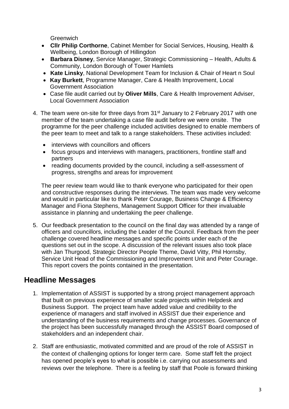**Greenwich** 

- **Cllr Philip Corthorne**, Cabinet Member for Social Services, Housing, Health & Wellbeing, London Borough of Hillingdon
- **Barbara Disney**, Service Manager, Strategic Commissioning Health, Adults & Community, London Borough of Tower Hamlets
- **Kate Linsky**, National Development Team for Inclusion & Chair of Heart n Soul
- **Kay Burkett**, Programme Manager, Care & Health Improvement, Local Government Association
- Case file audit carried out by **Oliver Mills**, Care & Health Improvement Adviser, Local Government Association
- 4. The team were on-site for three days from 31<sup>st</sup> January to 2 February 2017 with one member of the team undertaking a case file audit before we were onsite. The programme for the peer challenge included activities designed to enable members of the peer team to meet and talk to a range stakeholders. These activities included:
	- interviews with councillors and officers
	- focus groups and interviews with managers, practitioners, frontline staff and partners
	- reading documents provided by the council, including a self-assessment of progress, strengths and areas for improvement

The peer review team would like to thank everyone who participated for their open and constructive responses during the interviews. The team was made very welcome and would in particular like to thank Peter Courage, Business Change & Efficiency Manager and Fiona Stephens, Management Support Officer for their invaluable assistance in planning and undertaking the peer challenge.

5. Our feedback presentation to the council on the final day was attended by a range of officers and councillors, including the Leader of the Council. Feedback from the peer challenge covered headline messages and specific points under each of the questions set out in the scope. A discussion of the relevant issues also took place with Jan Thurgood, Strategic Director People Theme, David Vitty, Phil Hornsby, Service Unit Head of the Commissioning and Improvement Unit and Peter Courage. This report covers the points contained in the presentation.

#### **Headline Messages**

- 1. Implementation of ASSIST is supported by a strong project management approach that built on previous experience of smaller scale projects within Helpdesk and Business Support. The project team have added value and credibility to the experience of managers and staff involved in ASSIST due their experience and understanding of the business requirements and change processes. Governance of the project has been successfully managed through the ASSIST Board composed of stakeholders and an independent chair.
- 2. Staff are enthusiastic, motivated committed and are proud of the role of ASSIST in the context of challenging options for longer term care. Some staff felt the project has opened people's eyes to what is possible i.e. carrying out assessments and reviews over the telephone. There is a feeling by staff that Poole is forward thinking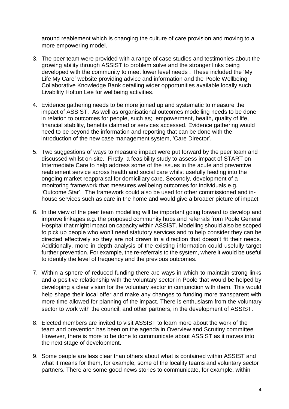around reablement which is changing the culture of care provision and moving to a more empowering model.

- 3. The peer team were provided with a range of case studies and testimonies about the growing ability through ASSIST to problem solve and the stronger links being developed with the community to meet lower level needs . These included the 'My Life My Care' website providing advice and information and the Poole Wellbeing Collaborative Knowledge Bank detailing wider opportunities available locally such Livability Holton Lee for wellbeing activities.
- 4. Evidence gathering needs to be more joined up and systematic to measure the impact of ASSIST. As well as organisational outcomes modelling needs to be done in relation to outcomes for people, such as; empowerment, health, quality of life, financial stability, benefits claimed or services accessed. Evidence gathering would need to be beyond the information and reporting that can be done with the introduction of the new case management system, 'Care Director'.
- 5. Two suggestions of ways to measure impact were put forward by the peer team and discussed whilst on-site. Firstly, a feasibility study to assess impact of START on Intermediate Care to help address some of the issues in the acute and preventive reablement service across health and social care whilst usefully feeding into the ongoing market reappraisal for domiciliary care. Secondly, development of a monitoring framework that measures wellbeing outcomes for individuals e.g. 'Outcome Star'. The framework could also be used for other commissioned and inhouse services such as care in the home and would give a broader picture of impact.
- 6. In the view of the peer team modelling will be important going forward to develop and improve linkages e.g. the proposed community hubs and referrals from Poole General Hospital that might impact on capacity within ASSIST. Modelling should also be scoped to pick up people who won't need statutory services and to help consider they can be directed effectively so they are not drawn in a direction that doesn't fit their needs. Additionally, more in depth analysis of the existing information could usefully target further prevention. For example, the re-referrals to the system, where it would be useful to identify the level of frequency and the previous outcomes.
- 7. Within a sphere of reduced funding there are ways in which to maintain strong links and a positive relationship with the voluntary sector in Poole that would be helped by developing a clear vision for the voluntary sector in conjunction with them. This would help shape their local offer and make any changes to funding more transparent with more time allowed for planning of the impact. There is enthusiasm from the voluntary sector to work with the council, and other partners, in the development of ASSIST.
- 8. Elected members are invited to visit ASSIST to learn more about the work of the team and prevention has been on the agenda in Overview and Scrutiny committee However, there is more to be done to communicate about ASSIST as it moves into the next stage of development.
- 9. Some people are less clear than others about what is contained within ASSIST and what it means for them, for example, some of the locality teams and voluntary sector partners. There are some good news stories to communicate, for example, within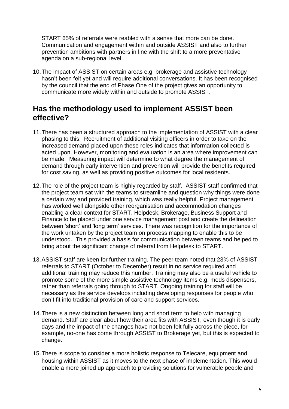START 65% of referrals were reabled with a sense that more can be done. Communication and engagement within and outside ASSIST and also to further prevention ambitions with partners in line with the shift to a more preventative agenda on a sub-regional level.

10.The impact of ASSIST on certain areas e.g. brokerage and assistive technology hasn't been felt yet and will require additional conversations. It has been recognised by the council that the end of Phase One of the project gives an opportunity to communicate more widely within and outside to promote ASSIST.

#### **Has the methodology used to implement ASSIST been effective?**

- 11.There has been a structured approach to the implementation of ASSIST with a clear phasing to this. Recruitment of additional visiting officers in order to take on the increased demand placed upon these roles indicates that information collected is acted upon. However, monitoring and evaluation is an area where improvement can be made. Measuring impact will determine to what degree the management of demand through early intervention and prevention will provide the benefits required for cost saving, as well as providing positive outcomes for local residents.
- 12.The role of the project team is highly regarded by staff. ASSIST staff confirmed that the project team sat with the teams to streamline and question why things were done a certain way and provided training, which was really helpful. Project management has worked well alongside other reorganisation and accommodation changes enabling a clear context for START, Helpdesk, Brokerage, Business Support and Finance to be placed under one service management post and create the delineation between 'short' and 'long term' services. There was recognition for the importance of the work untaken by the project team on process mapping to enable this to be understood. This provided a basis for communication between teams and helped to bring about the significant change of referral from Helpdesk to START.
- 13.ASSIST staff are keen for further training. The peer team noted that 23% of ASSIST referrals to START (October to December) result in no service required and additional training may reduce this number. Training may also be a useful vehicle to promote some of the more simple assistive technology items e.g. meds dispensers, rather than referrals going through to START. Ongoing training for staff will be necessary as the service develops including developing responses for people who don't fit into traditional provision of care and support services.
- 14.There is a new distinction between long and short term to help with managing demand. Staff are clear about how their area fits with ASSIST, even though it is early days and the impact of the changes have not been felt fully across the piece, for example, no-one has come through ASSIST to Brokerage yet, but this is expected to change.
- 15.There is scope to consider a more holistic response to Telecare, equipment and housing within ASSIST as it moves to the next phase of implementation. This would enable a more joined up approach to providing solutions for vulnerable people and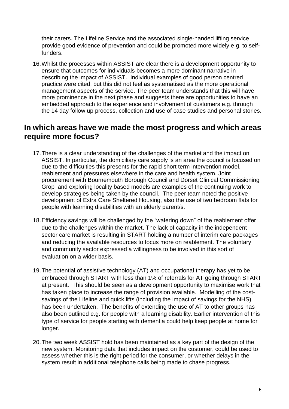their carers. The Lifeline Service and the associated single-handed lifting service provide good evidence of prevention and could be promoted more widely e.g. to selffunders.

16.Whilst the processes within ASSIST are clear there is a development opportunity to ensure that outcomes for individuals becomes a more dominant narrative in describing the impact of ASSIST. Individual examples of good person centred practice were cited, but this did not feel as systematised as the more operational management aspects of the service. The peer team understands that this will have more prominence in the next phase and suggests there are opportunities to have an embedded approach to the experience and involvement of customers e.g. through the 14 day follow up process, collection and use of case studies and personal stories.

#### **In which areas have we made the most progress and which areas require more focus?**

- 17.There is a clear understanding of the challenges of the market and the impact on ASSIST. In particular, the domiciliary care supply is an area the council is focused on due to the difficulties this presents for the rapid short term intervention model, reablement and pressures elsewhere in the care and health system. Joint procurement with Bournemouth Borough Council and Dorset Clinical Commissioning Grop and exploring locality based models are examples of the continuing work to develop strategies being taken by the council. The peer team noted the positive development of Extra Care Sheltered Housing, also the use of two bedroom flats for people with learning disabilities with an elderly parent/s.
- 18.Efficiency savings will be challenged by the "watering down" of the reablement offer due to the challenges within the market. The lack of capacity in the independent sector care market is resulting in START holding a number of interim care packages and reducing the available resources to focus more on reablement. The voluntary and community sector expressed a willingness to be involved in this sort of evaluation on a wider basis.
- 19.The potential of assistive technology (AT) and occupational therapy has yet to be embraced through START with less than 1% of referrals for AT going through START at present. This should be seen as a development opportunity to maximise work that has taken place to increase the range of provision available. Modelling of the costsavings of the Lifeline and quick lifts (including the impact of savings for the NHS) has been undertaken. The benefits of extending the use of AT to other groups has also been outlined e.g. for people with a learning disability. Earlier intervention of this type of service for people starting with dementia could help keep people at home for longer.
- 20.The two week ASSIST hold has been maintained as a key part of the design of the new system. Monitoring data that includes impact on the customer, could be used to assess whether this is the right period for the consumer, or whether delays in the system result in additional telephone calls being made to chase progress.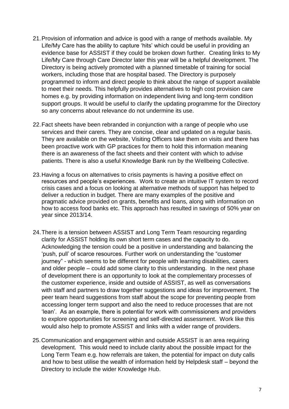- 21.Provision of information and advice is good with a range of methods available. My Life/My Care has the ability to capture 'hits' which could be useful in providing an evidence base for ASSIST if they could be broken down further. Creating links to My Life/My Care through Care Director later this year will be a helpful development. The Directory is being actively promoted with a planned timetable of training for social workers, including those that are hospital based. The Directory is purposely programmed to inform and direct people to think about the range of support available to meet their needs. This helpfully provides alternatives to high cost provision care homes e.g. by providing information on independent living and long-term condition support groups. It would be useful to clarify the updating programme for the Directory so any concerns about relevance do not undermine its use.
- 22.Fact sheets have been rebranded in conjunction with a range of people who use services and their carers. They are concise, clear and updated on a regular basis. They are available on the website, Visiting Officers take them on visits and there has been proactive work with GP practices for them to hold this information meaning there is an awareness of the fact sheets and their content with which to advise patients. There is also a useful Knowledge Bank run by the Wellbeing Collective.
- 23.Having a focus on alternatives to crisis payments is having a positive effect on resources and people's experiences. Work to create an intuitive IT system to record crisis cases and a focus on looking at alternative methods of support has helped to deliver a reduction in budget. There are many examples of the positive and pragmatic advice provided on grants, benefits and loans, along with information on how to access food banks etc. This approach has resulted in savings of 50% year on year since 2013/14.
- 24.There is a tension between ASSIST and Long Term Team resourcing regarding clarity for ASSIST holding its own short term cases and the capacity to do. Acknowledging the tension could be a positive in understanding and balancing the 'push, pull' of scarce resources. Further work on understanding the "customer journey" - which seems to be different for people with learning disabilities, carers and older people – could add some clarity to this understanding. In the next phase of development there is an opportunity to look at the complementary processes of the customer experience, inside and outside of ASSIST, as well as conversations with staff and partners to draw together suggestions and ideas for improvement. The peer team heard suggestions from staff about the scope for preventing people from accessing longer term support and also the need to reduce processes that are not 'lean'. As an example, there is potential for work with commissioners and providers to explore opportunities for screening and self-directed assessment. Work like this would also help to promote ASSIST and links with a wider range of providers.
- 25.Communication and engagement within and outside ASSIST is an area requiring development. This would need to include clarity about the possible impact for the Long Term Team e.g. how referrals are taken, the potential for impact on duty calls and how to best utilise the wealth of information held by Helpdesk staff – beyond the Directory to include the wider Knowledge Hub.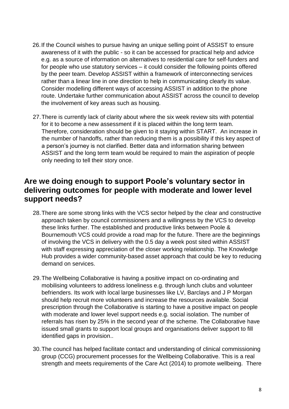- 26.If the Council wishes to pursue having an unique selling point of ASSIST to ensure awareness of it with the public - so it can be accessed for practical help and advice e.g. as a source of information on alternatives to residential care for self-funders and for people who use statutory services – it could consider the following points offered by the peer team. Develop ASSIST within a framework of interconnecting services rather than a linear line in one direction to help in communicating clearly its value. Consider modelling different ways of accessing ASSIST in addition to the phone route. Undertake further communication about ASSIST across the council to develop the involvement of key areas such as housing.
- 27.There is currently lack of clarity about where the six week review sits with potential for it to become a new assessment if it is placed within the long term team. Therefore, consideration should be given to it staying within START. An increase in the number of handoffs, rather than reducing them is a possibility if this key aspect of a person's journey is not clarified. Better data and information sharing between ASSIST and the long term team would be required to main the aspiration of people only needing to tell their story once.

#### **Are we doing enough to support Poole's voluntary sector in delivering outcomes for people with moderate and lower level support needs?**

- 28.There are some strong links with the VCS sector helped by the clear and constructive approach taken by council commissioners and a willingness by the VCS to develop these links further. The established and productive links between Poole & Bournemouth VCS could provide a road map for the future. There are the beginnings of involving the VCS in delivery with the 0.5 day a week post sited within ASSIST with staff expressing appreciation of the closer working relationship. The Knowledge Hub provides a wider community-based asset approach that could be key to reducing demand on services.
- 29.The Wellbeing Collaborative is having a positive impact on co-ordinating and mobilising volunteers to address loneliness e.g. through lunch clubs and volunteer befrienders. Its work with local large businesses like LV, Barclays and J P Morgan should help recruit more volunteers and increase the resources available. Social prescription through the Collaborative is starting to have a positive impact on people with moderate and lower level support needs e.g. social isolation. The number of referrals has risen by 25% in the second year of the scheme. The Collaborative have issued small grants to support local groups and organisations deliver support to fill identified gaps in provision..
- 30.The council has helped facilitate contact and understanding of clinical commissioning group (CCG) procurement processes for the Wellbeing Collaborative. This is a real strength and meets requirements of the Care Act (2014) to promote wellbeing. There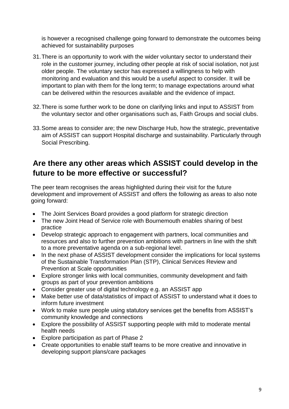is however a recognised challenge going forward to demonstrate the outcomes being achieved for sustainability purposes

- 31.There is an opportunity to work with the wider voluntary sector to understand their role in the customer journey, including other people at risk of social isolation, not just older people. The voluntary sector has expressed a willingness to help with monitoring and evaluation and this would be a useful aspect to consider. It will be important to plan with them for the long term; to manage expectations around what can be delivered within the resources available and the evidence of impact.
- 32.There is some further work to be done on clarifying links and input to ASSIST from the voluntary sector and other organisations such as, Faith Groups and social clubs.
- 33.Some areas to consider are; the new Discharge Hub, how the strategic, preventative aim of ASSIST can support Hospital discharge and sustainability. Particularly through Social Prescribing.

#### **Are there any other areas which ASSIST could develop in the future to be more effective or successful?**

The peer team recognises the areas highlighted during their visit for the future development and improvement of ASSIST and offers the following as areas to also note going forward:

- The Joint Services Board provides a good platform for strategic direction
- The new Joint Head of Service role with Bournemouth enables sharing of best practice
- Develop strategic approach to engagement with partners, local communities and resources and also to further prevention ambitions with partners in line with the shift to a more preventative agenda on a sub-regional level.
- In the next phase of ASSIST development consider the implications for local systems of the Sustainable Transformation Plan (STP), Clinical Services Review and Prevention at Scale opportunities
- Explore stronger links with local communities, community development and faith groups as part of your prevention ambitions
- Consider greater use of digital technology e.g. an ASSIST app
- Make better use of data/statistics of impact of ASSIST to understand what it does to inform future investment
- Work to make sure people using statutory services get the benefits from ASSIST's community knowledge and connections
- Explore the possibility of ASSIST supporting people with mild to moderate mental health needs
- Explore participation as part of Phase 2
- Create opportunities to enable staff teams to be more creative and innovative in developing support plans/care packages